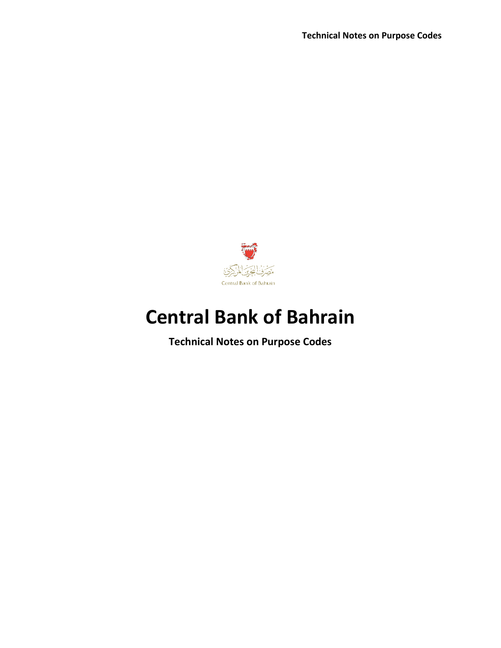

# **Central Bank of Bahrain**

**Technical Notes on Purpose Codes**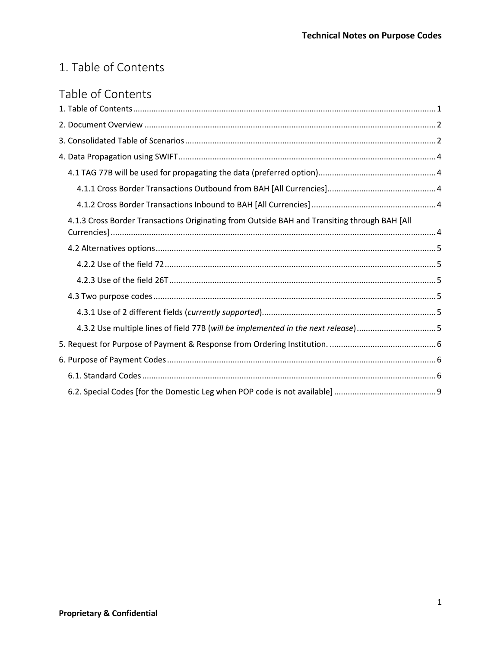# <span id="page-1-0"></span>1. Table of Contents

# Table of Contents

| 4.1.3 Cross Border Transactions Originating from Outside BAH and Transiting through BAH [All |  |
|----------------------------------------------------------------------------------------------|--|
|                                                                                              |  |
|                                                                                              |  |
|                                                                                              |  |
|                                                                                              |  |
|                                                                                              |  |
| 4.3.2 Use multiple lines of field 77B (will be implemented in the next release)5             |  |
|                                                                                              |  |
|                                                                                              |  |
|                                                                                              |  |
|                                                                                              |  |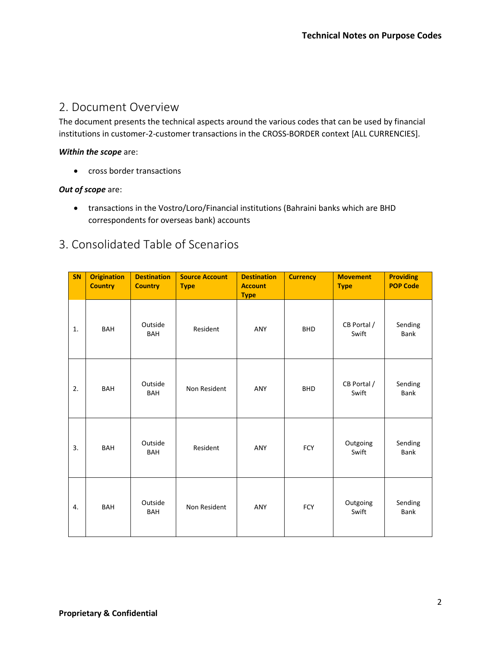# <span id="page-2-0"></span>2. Document Overview

The document presents the technical aspects around the various codes that can be used by financial institutions in customer-2-customer transactions in the CROSS-BORDER context [ALL CURRENCIES].

#### *Within the scope* are:

• cross border transactions

#### *Out of scope* are:

• transactions in the Vostro/Loro/Financial institutions (Bahraini banks which are BHD correspondents for overseas bank) accounts

# <span id="page-2-1"></span>3. Consolidated Table of Scenarios

| SN | <b>Origination</b><br><b>Country</b> | <b>Destination</b><br><b>Country</b> | <b>Source Account</b><br><b>Type</b> | <b>Destination</b><br><b>Account</b><br><b>Type</b> | <b>Currency</b> | <b>Movement</b><br><b>Type</b> | <b>Providing</b><br><b>POP Code</b> |
|----|--------------------------------------|--------------------------------------|--------------------------------------|-----------------------------------------------------|-----------------|--------------------------------|-------------------------------------|
| 1. | <b>BAH</b>                           | Outside<br><b>BAH</b>                | Resident                             | ANY                                                 | <b>BHD</b>      | CB Portal /<br>Swift           | Sending<br>Bank                     |
| 2. | BAH                                  | Outside<br><b>BAH</b>                | Non Resident                         | ANY                                                 | <b>BHD</b>      | CB Portal /<br>Swift           | Sending<br><b>Bank</b>              |
| 3. | <b>BAH</b>                           | Outside<br><b>BAH</b>                | Resident                             | ANY                                                 | <b>FCY</b>      | Outgoing<br>Swift              | Sending<br><b>Bank</b>              |
| 4. | <b>BAH</b>                           | Outside<br><b>BAH</b>                | Non Resident                         | ANY                                                 | <b>FCY</b>      | Outgoing<br>Swift              | Sending<br>Bank                     |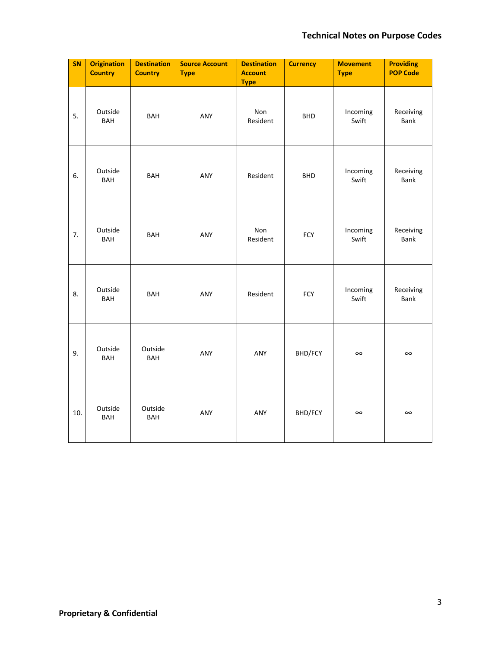### **Technical Notes on Purpose Codes**

| SN  | <b>Origination</b><br><b>Country</b> | <b>Destination</b><br><b>Country</b> | <b>Source Account</b><br><b>Type</b> | <b>Destination</b><br><b>Account</b><br><b>Type</b> | <b>Currency</b> | <b>Movement</b><br><b>Type</b> | <b>Providing</b><br><b>POP Code</b> |
|-----|--------------------------------------|--------------------------------------|--------------------------------------|-----------------------------------------------------|-----------------|--------------------------------|-------------------------------------|
| 5.  | Outside<br><b>BAH</b>                | <b>BAH</b>                           | ANY                                  | Non<br>Resident                                     | <b>BHD</b>      | Incoming<br>Swift              | Receiving<br>Bank                   |
| 6.  | Outside<br>BAH                       | <b>BAH</b>                           | ANY                                  | Resident                                            | <b>BHD</b>      | Incoming<br>Swift              | Receiving<br>Bank                   |
| 7.  | Outside<br><b>BAH</b>                | <b>BAH</b>                           | ANY                                  | Non<br>Resident                                     | FCY             | Incoming<br>Swift              | Receiving<br>Bank                   |
| 8.  | Outside<br>BAH                       | <b>BAH</b>                           | ANY                                  | Resident                                            | FCY             | Incoming<br>Swift              | Receiving<br>Bank                   |
| 9.  | Outside<br>BAH                       | Outside<br><b>BAH</b>                | ANY                                  | ANY                                                 | BHD/FCY         | $\infty$                       | $\infty$                            |
| 10. | Outside<br>BAH                       | Outside<br><b>BAH</b>                | ANY                                  | ANY                                                 | BHD/FCY         | $\infty$                       | $\infty$                            |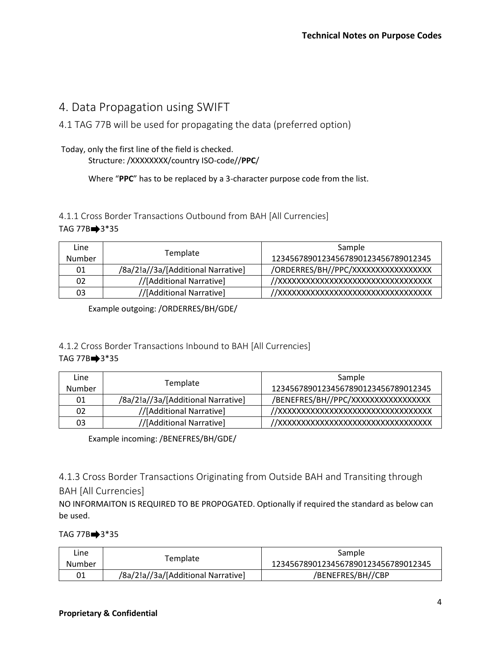# <span id="page-4-0"></span>4. Data Propagation using SWIFT

<span id="page-4-1"></span>4.1 TAG 77B will be used for propagating the data (preferred option)

# Today, only the first line of the field is checked.

Structure: /XXXXXXXX/country ISO-code//**PPC**/

Where "**PPC**" has to be replaced by a 3-character purpose code from the list.

### <span id="page-4-2"></span>4.1.1 Cross Border Transactions Outbound from BAH [All Currencies] TAG  $77B \rightarrow 3*35$

| Line<br>Number | Template                           | Sample<br>12345678901234567890123456789012345 |
|----------------|------------------------------------|-----------------------------------------------|
| 01             | /8a/2!a//3a/[Additional Narrative] | /ORDERRES/BH//PPC/XXXXXXXXXXXXXXXX            |
| 02             | //[Additional Narrative]           | //XXXXXXXXXXXXXXXXXXXXXXXXXXXXXXXXX           |
| 03             | //[Additional Narrative]           | //XXXXXXXXXXXXXXXXXXXXXXXXXXXXXXXXX           |

Example outgoing: /ORDERRES/BH/GDE/

#### <span id="page-4-3"></span>4.1.2 Cross Border Transactions Inbound to BAH [All Currencies] TAG  $77B$ <sup>3\*</sup>35

| Line          |                                    | Sample                              |
|---------------|------------------------------------|-------------------------------------|
| <b>Number</b> | Template                           | 12345678901234567890123456789012345 |
| 01            | /8a/2!a//3a/[Additional Narrative] | /BENEFRES/BH//PPC/XXXXXXXXXXXXXXXX  |
| 02            | //[Additional Narrative]           | //XXXXXXXXXXXXXXXXXXXXXXXXXXXXXXXXX |
| 03            | //[Additional Narrative]           | //XXXXXXXXXXXXXXXXXXXXXXXXXXXXXXXXX |

Example incoming: /BENEFRES/BH/GDE/

### <span id="page-4-4"></span>4.1.3 Cross Border Transactions Originating from Outside BAH and Transiting through BAH [All Currencies]

NO INFORMAITON IS REQUIRED TO BE PROPOGATED. Optionally if required the standard as below can be used.

### TAG  $77B$  $\rightarrow$  3\*35

| Line.  |                                    | Sample                              |  |
|--------|------------------------------------|-------------------------------------|--|
| Number | Template                           | 12345678901234567890123456789012345 |  |
| 01     | /8a/2!a//3a/[Additional Narrative] | /BENEFRES/BH//CBP                   |  |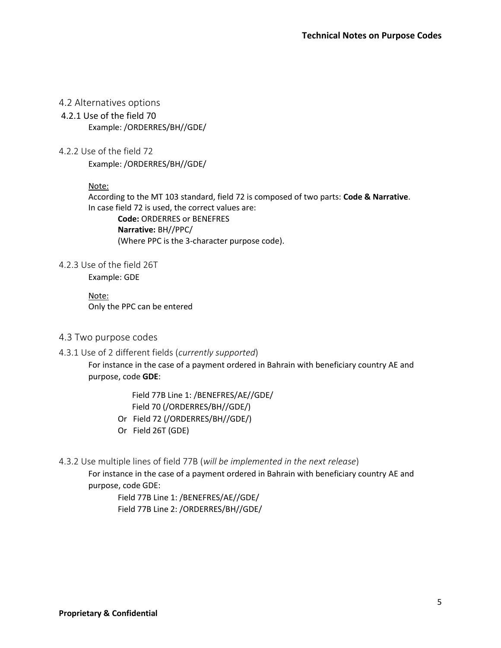#### <span id="page-5-0"></span>4.2 Alternatives options

4.2.1 Use of the field 70 Example: /ORDERRES/BH//GDE/

<span id="page-5-1"></span>4.2.2 Use of the field 72 Example: /ORDERRES/BH//GDE/

#### Note:

According to the MT 103 standard, field 72 is composed of two parts: **Code & Narrative**. In case field 72 is used, the correct values are: **Code:** ORDERRES or BENEFRES **Narrative:** BH//PPC/ (Where PPC is the 3-character purpose code).

<span id="page-5-2"></span>4.2.3 Use of the field 26T

Example: GDE

Note: Only the PPC can be entered

#### <span id="page-5-3"></span>4.3 Two purpose codes

#### <span id="page-5-4"></span>4.3.1 Use of 2 different fields (*currently supported*)

For instance in the case of a payment ordered in Bahrain with beneficiary country AE and purpose, code **GDE**:

> Field 77B Line 1: /BENEFRES/AE//GDE/ Field 70 (/ORDERRES/BH//GDE/)

- Or Field 72 (/ORDERRES/BH//GDE/)
- Or Field 26T (GDE)
- <span id="page-5-5"></span>4.3.2 Use multiple lines of field 77B (*will be implemented in the next release*)

For instance in the case of a payment ordered in Bahrain with beneficiary country AE and purpose, code GDE:

Field 77B Line 1: /BENEFRES/AE//GDE/ Field 77B Line 2: /ORDERRES/BH//GDE/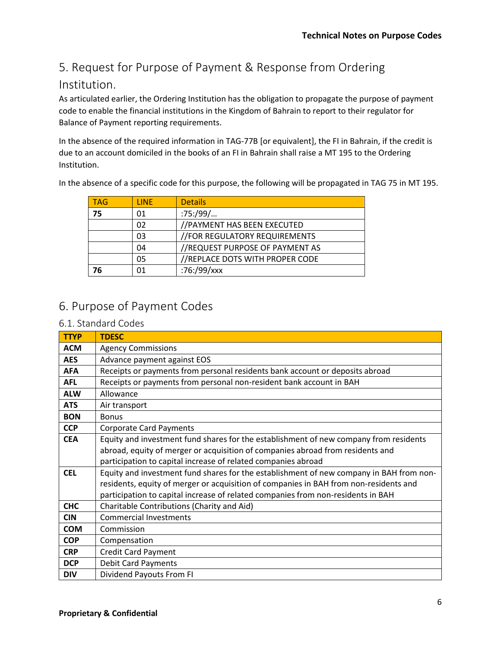# <span id="page-6-0"></span>5. Request for Purpose of Payment & Response from Ordering

# Institution.

As articulated earlier, the Ordering Institution has the obligation to propagate the purpose of payment code to enable the financial institutions in the Kingdom of Bahrain to report to their regulator for Balance of Payment reporting requirements.

In the absence of the required information in TAG-77B [or equivalent], the FI in Bahrain, if the credit is due to an account domiciled in the books of an FI in Bahrain shall raise a MT 195 to the Ordering Institution.

In the absence of a specific code for this purpose, the following will be propagated in TAG 75 in MT 195.

| <b>TAG</b> | <b>LINF</b> | <b>Details</b>                  |
|------------|-------------|---------------------------------|
| 75         | 01          | $:75$ :/99/                     |
|            | 02          | //PAYMENT HAS BEEN EXECUTED     |
|            | 03          | //FOR REGULATORY REQUIREMENTS   |
|            | 04          | //REQUEST PURPOSE OF PAYMENT AS |
|            | 05          | //REPLACE DOTS WITH PROPER CODE |
| 76         | 01          | :76:/99/xxx                     |

# <span id="page-6-1"></span>6. Purpose of Payment Codes

#### <span id="page-6-2"></span>6.1. Standard Codes

| <b>TTYP</b> | <b>TDESC</b>                                                                            |
|-------------|-----------------------------------------------------------------------------------------|
| <b>ACM</b>  | <b>Agency Commissions</b>                                                               |
| <b>AES</b>  | Advance payment against EOS                                                             |
| <b>AFA</b>  | Receipts or payments from personal residents bank account or deposits abroad            |
| <b>AFL</b>  | Receipts or payments from personal non-resident bank account in BAH                     |
| <b>ALW</b>  | Allowance                                                                               |
| <b>ATS</b>  | Air transport                                                                           |
| <b>BON</b>  | <b>Bonus</b>                                                                            |
| <b>CCP</b>  | <b>Corporate Card Payments</b>                                                          |
| <b>CEA</b>  | Equity and investment fund shares for the establishment of new company from residents   |
|             | abroad, equity of merger or acquisition of companies abroad from residents and          |
|             | participation to capital increase of related companies abroad                           |
| <b>CEL</b>  | Equity and investment fund shares for the establishment of new company in BAH from non- |
|             | residents, equity of merger or acquisition of companies in BAH from non-residents and   |
|             | participation to capital increase of related companies from non-residents in BAH        |
| <b>CHC</b>  | Charitable Contributions (Charity and Aid)                                              |
| <b>CIN</b>  | <b>Commercial Investments</b>                                                           |
| <b>COM</b>  | Commission                                                                              |
| <b>COP</b>  | Compensation                                                                            |
| <b>CRP</b>  | <b>Credit Card Payment</b>                                                              |
| <b>DCP</b>  | <b>Debit Card Payments</b>                                                              |
| <b>DIV</b>  | Dividend Payouts From FI                                                                |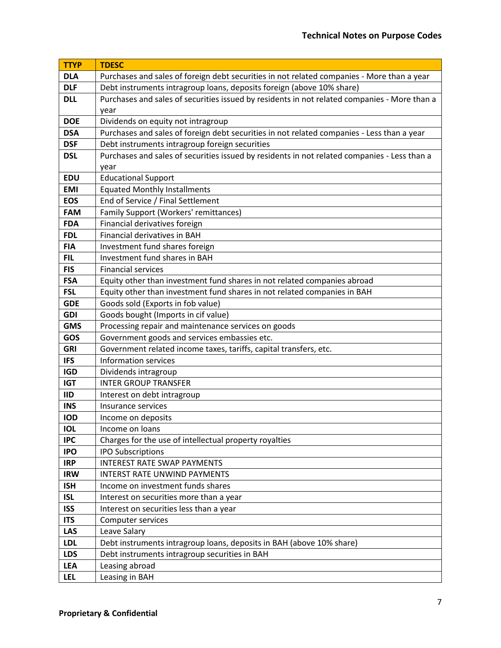| <b>TTYP</b> | <b>TDESC</b>                                                                                 |  |
|-------------|----------------------------------------------------------------------------------------------|--|
| <b>DLA</b>  | Purchases and sales of foreign debt securities in not related companies - More than a year   |  |
| <b>DLF</b>  | Debt instruments intragroup loans, deposits foreign (above 10% share)                        |  |
| <b>DLL</b>  | Purchases and sales of securities issued by residents in not related companies - More than a |  |
|             | year                                                                                         |  |
| <b>DOE</b>  | Dividends on equity not intragroup                                                           |  |
| <b>DSA</b>  | Purchases and sales of foreign debt securities in not related companies - Less than a year   |  |
| <b>DSF</b>  | Debt instruments intragroup foreign securities                                               |  |
| <b>DSL</b>  | Purchases and sales of securities issued by residents in not related companies - Less than a |  |
|             | year                                                                                         |  |
| EDU         | <b>Educational Support</b>                                                                   |  |
| <b>EMI</b>  | <b>Equated Monthly Installments</b>                                                          |  |
| <b>EOS</b>  | End of Service / Final Settlement                                                            |  |
| <b>FAM</b>  | Family Support (Workers' remittances)                                                        |  |
| <b>FDA</b>  | Financial derivatives foreign                                                                |  |
| <b>FDL</b>  | Financial derivatives in BAH                                                                 |  |
| <b>FIA</b>  | Investment fund shares foreign                                                               |  |
| <b>FIL</b>  | Investment fund shares in BAH                                                                |  |
| <b>FIS</b>  | <b>Financial services</b>                                                                    |  |
| <b>FSA</b>  | Equity other than investment fund shares in not related companies abroad                     |  |
| <b>FSL</b>  | Equity other than investment fund shares in not related companies in BAH                     |  |
| <b>GDE</b>  | Goods sold (Exports in fob value)                                                            |  |
| <b>GDI</b>  | Goods bought (Imports in cif value)                                                          |  |
| <b>GMS</b>  | Processing repair and maintenance services on goods                                          |  |
| GOS         | Government goods and services embassies etc.                                                 |  |
| <b>GRI</b>  | Government related income taxes, tariffs, capital transfers, etc.                            |  |
| <b>IFS</b>  | Information services                                                                         |  |
| <b>IGD</b>  | Dividends intragroup                                                                         |  |
| <b>IGT</b>  | <b>INTER GROUP TRANSFER</b>                                                                  |  |
| <b>IID</b>  | Interest on debt intragroup                                                                  |  |
| <b>INS</b>  | Insurance services                                                                           |  |
| <b>IOD</b>  | Income on deposits                                                                           |  |
| <b>IOL</b>  | Income on loans                                                                              |  |
| <b>IPC</b>  | Charges for the use of intellectual property royalties                                       |  |
| <b>IPO</b>  | <b>IPO Subscriptions</b>                                                                     |  |
| <b>IRP</b>  | <b>INTEREST RATE SWAP PAYMENTS</b>                                                           |  |
| <b>IRW</b>  | <b>INTERST RATE UNWIND PAYMENTS</b>                                                          |  |
| <b>ISH</b>  | Income on investment funds shares                                                            |  |
| <b>ISL</b>  | Interest on securities more than a year                                                      |  |
| <b>ISS</b>  | Interest on securities less than a year                                                      |  |
| <b>ITS</b>  | Computer services                                                                            |  |
| <b>LAS</b>  | Leave Salary                                                                                 |  |
| <b>LDL</b>  | Debt instruments intragroup loans, deposits in BAH (above 10% share)                         |  |
| <b>LDS</b>  | Debt instruments intragroup securities in BAH                                                |  |
| <b>LEA</b>  | Leasing abroad                                                                               |  |
| <b>LEL</b>  | Leasing in BAH                                                                               |  |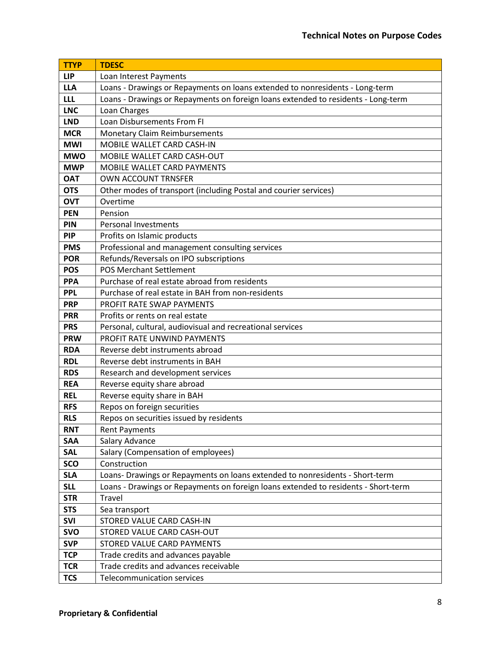| <b>TTYP</b> | <b>TDESC</b>                                                                       |  |  |
|-------------|------------------------------------------------------------------------------------|--|--|
| <b>LIP</b>  | Loan Interest Payments                                                             |  |  |
| <b>LLA</b>  | Loans - Drawings or Repayments on loans extended to nonresidents - Long-term       |  |  |
| <b>LLL</b>  | Loans - Drawings or Repayments on foreign loans extended to residents - Long-term  |  |  |
| <b>LNC</b>  | Loan Charges                                                                       |  |  |
| <b>LND</b>  | Loan Disbursements From FI                                                         |  |  |
| <b>MCR</b>  | <b>Monetary Claim Reimbursements</b>                                               |  |  |
| <b>MWI</b>  | MOBILE WALLET CARD CASH-IN                                                         |  |  |
| <b>MWO</b>  | MOBILE WALLET CARD CASH-OUT                                                        |  |  |
| <b>MWP</b>  | MOBILE WALLET CARD PAYMENTS                                                        |  |  |
| <b>OAT</b>  | <b>OWN ACCOUNT TRNSFER</b>                                                         |  |  |
| <b>OTS</b>  | Other modes of transport (including Postal and courier services)                   |  |  |
| <b>OVT</b>  | Overtime                                                                           |  |  |
| <b>PEN</b>  | Pension                                                                            |  |  |
| PIN         | <b>Personal Investments</b>                                                        |  |  |
| <b>PIP</b>  | Profits on Islamic products                                                        |  |  |
| <b>PMS</b>  | Professional and management consulting services                                    |  |  |
| <b>POR</b>  | Refunds/Reversals on IPO subscriptions                                             |  |  |
| <b>POS</b>  | <b>POS Merchant Settlement</b>                                                     |  |  |
| <b>PPA</b>  | Purchase of real estate abroad from residents                                      |  |  |
| <b>PPL</b>  | Purchase of real estate in BAH from non-residents                                  |  |  |
| <b>PRP</b>  | PROFIT RATE SWAP PAYMENTS                                                          |  |  |
| <b>PRR</b>  | Profits or rents on real estate                                                    |  |  |
| <b>PRS</b>  | Personal, cultural, audiovisual and recreational services                          |  |  |
| <b>PRW</b>  | PROFIT RATE UNWIND PAYMENTS                                                        |  |  |
| <b>RDA</b>  | Reverse debt instruments abroad                                                    |  |  |
| <b>RDL</b>  | Reverse debt instruments in BAH                                                    |  |  |
| <b>RDS</b>  | Research and development services                                                  |  |  |
| <b>REA</b>  | Reverse equity share abroad                                                        |  |  |
| <b>REL</b>  | Reverse equity share in BAH                                                        |  |  |
| <b>RFS</b>  | Repos on foreign securities                                                        |  |  |
| <b>RLS</b>  | Repos on securities issued by residents                                            |  |  |
| <b>RNT</b>  | <b>Rent Payments</b>                                                               |  |  |
| <b>SAA</b>  | Salary Advance                                                                     |  |  |
| <b>SAL</b>  | Salary (Compensation of employees)                                                 |  |  |
| <b>SCO</b>  | Construction                                                                       |  |  |
| <b>SLA</b>  | Loans- Drawings or Repayments on loans extended to nonresidents - Short-term       |  |  |
| <b>SLL</b>  | Loans - Drawings or Repayments on foreign loans extended to residents - Short-term |  |  |
| <b>STR</b>  | Travel                                                                             |  |  |
| <b>STS</b>  | Sea transport                                                                      |  |  |
| SVI         | STORED VALUE CARD CASH-IN                                                          |  |  |
| <b>SVO</b>  | STORED VALUE CARD CASH-OUT                                                         |  |  |
| <b>SVP</b>  | STORED VALUE CARD PAYMENTS                                                         |  |  |
| <b>TCP</b>  | Trade credits and advances payable                                                 |  |  |
| <b>TCR</b>  | Trade credits and advances receivable                                              |  |  |
| <b>TCS</b>  | Telecommunication services                                                         |  |  |